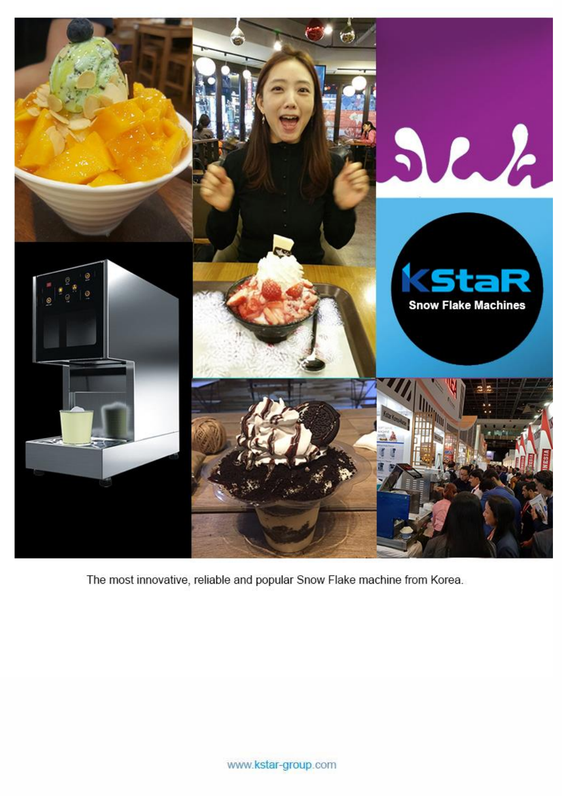

The most innovative, reliable and popular Snow Flake machine from Korea.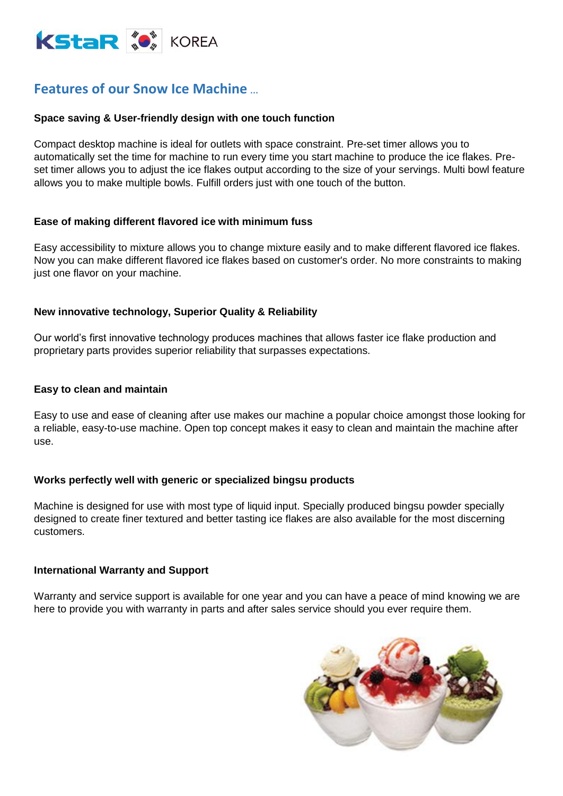

## **Features of our Snow Ice Machine** …

#### **Space saving & User-friendly design with one touch function**

Compact desktop machine is ideal for outlets with space constraint. Pre-set timer allows you to automatically set the time for machine to run every time you start machine to produce the ice flakes. Preset timer allows you to adjust the ice flakes output according to the size of your servings. Multi bowl feature allows you to make multiple bowls. Fulfill orders just with one touch of the button.

#### **Ease of making different flavored ice with minimum fuss**

Easy accessibility to mixture allows you to change mixture easily and to make different flavored ice flakes. Now you can make different flavored ice flakes based on customer's order. No more constraints to making just one flavor on your machine.

#### **New innovative technology, Superior Quality & Reliability**

Our world's first innovative technology produces machines that allows faster ice flake production and proprietary parts provides superior reliability that surpasses expectations.

#### **Easy to clean and maintain**

Easy to use and ease of cleaning after use makes our machine a popular choice amongst those looking for a reliable, easy-to-use machine. Open top concept makes it easy to clean and maintain the machine after use.

#### **Works perfectly well with generic or specialized bingsu products**

Machine is designed for use with most type of liquid input. Specially produced bingsu powder specially designed to create finer textured and better tasting ice flakes are also available for the most discerning customers.

#### **International Warranty and Support**

Warranty and service support is available for one year and you can have a peace of mind knowing we are here to provide you with warranty in parts and after sales service should you ever require them.

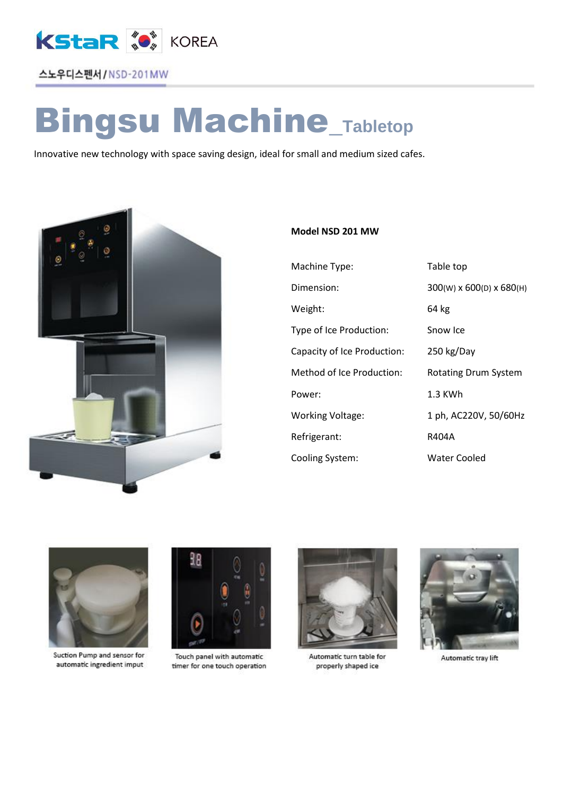

### 스노우디스펜서 / NSD-201MW

# Bingsu Machine\_**Tabletop**

Innovative new technology with space saving design, ideal for small and medium sized cafes.



#### **Model NSD 201 MW**

| Machine Type:               |
|-----------------------------|
| Dimension:                  |
| Weight:                     |
| Type of Ice Production:     |
| Capacity of Ice Production: |
| Method of Ice Production:   |
| Power:                      |
| <b>Working Voltage:</b>     |
| Refrigerant:                |
| Cooling System:             |

Table top 300(W) x 600(D) x 680(H) 64 kg Snow Ice 250 kg/Day Rotating Drum System  $1.3$  KWh 1 ph, AC220V, 50/60Hz R404A Water Cooled



Suction Pump and sensor for automatic ingredient imput



Touch panel with automatic timer for one touch operation



Automatic turn table for properly shaped ice



Automatic tray lift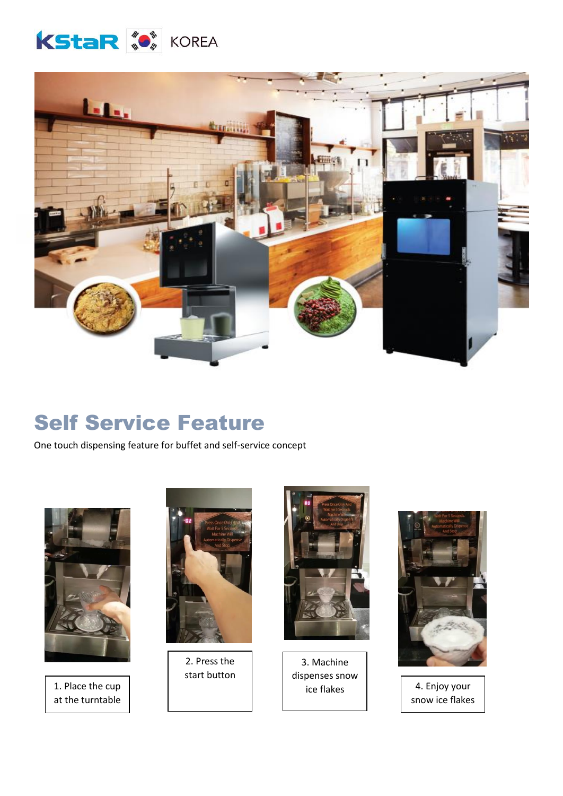



# Self Service Feature

One touch dispensing feature for buffet and self-service concept



1. Place the cup at the turntable



2. Press the start button



3. Machine dispenses snow



 $\begin{array}{c|c} \hline \end{array}$  ice flakes  $\begin{array}{|c|c|c|c|} \hline \end{array}$  4. Enjoy your snow ice flakes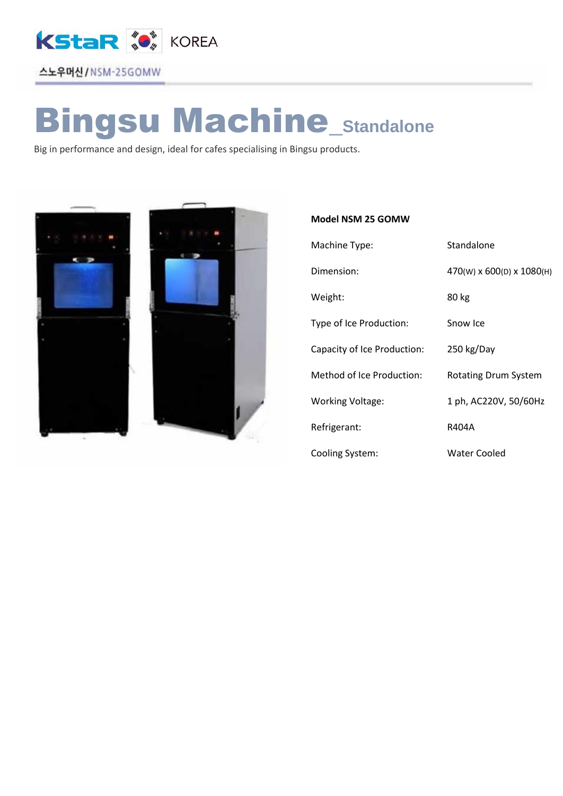

# Bingsu Machine\_**Standalone**

Big in performance and design, ideal for cafes specialising in Bingsu products.



#### **Model NSM 25 GOMW**

| Machine Type:               | Standalone                |
|-----------------------------|---------------------------|
| Dimension:                  | 470(W) x 600(D) x 1080(H) |
| Weight:                     | 80 kg                     |
| Type of Ice Production:     | Snow Ice                  |
| Capacity of Ice Production: | 250 kg/Day                |
| Method of Ice Production:   | Rotating Drum System      |
| <b>Working Voltage:</b>     | 1 ph, AC220V, 50/60Hz     |
| Refrigerant:                | R404A                     |
| Cooling System:             | Water Cooled              |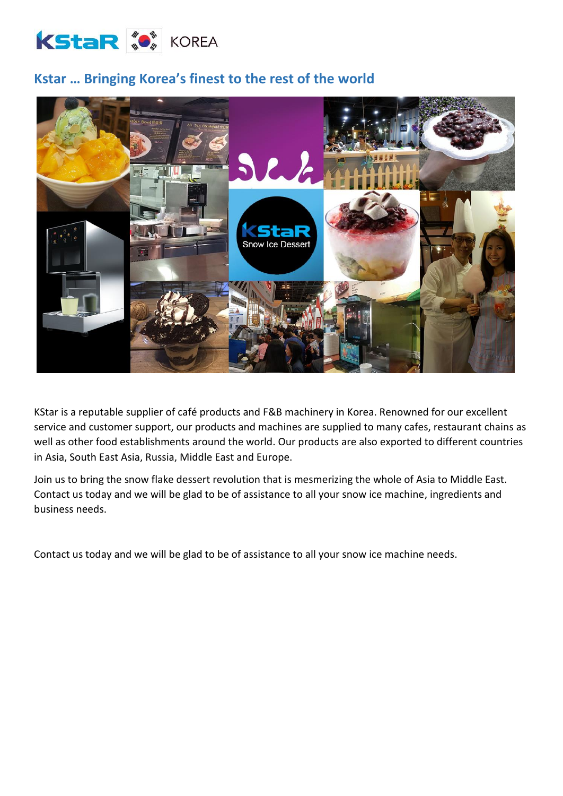

## **Kstar … Bringing Korea's finest to the rest of the world**



KStar is a reputable supplier of café products and F&B machinery in Korea. Renowned for our excellent service and customer support, our products and machines are supplied to many cafes, restaurant chains as well as other food establishments around the world. Our products are also exported to different countries in Asia, South East Asia, Russia, Middle East and Europe.

Join us to bring the snow flake dessert revolution that is mesmerizing the whole of Asia to Middle East. Contact us today and we will be glad to be of assistance to all your snow ice machine, ingredients and business needs.

Contact us today and we will be glad to be of assistance to all your snow ice machine needs.